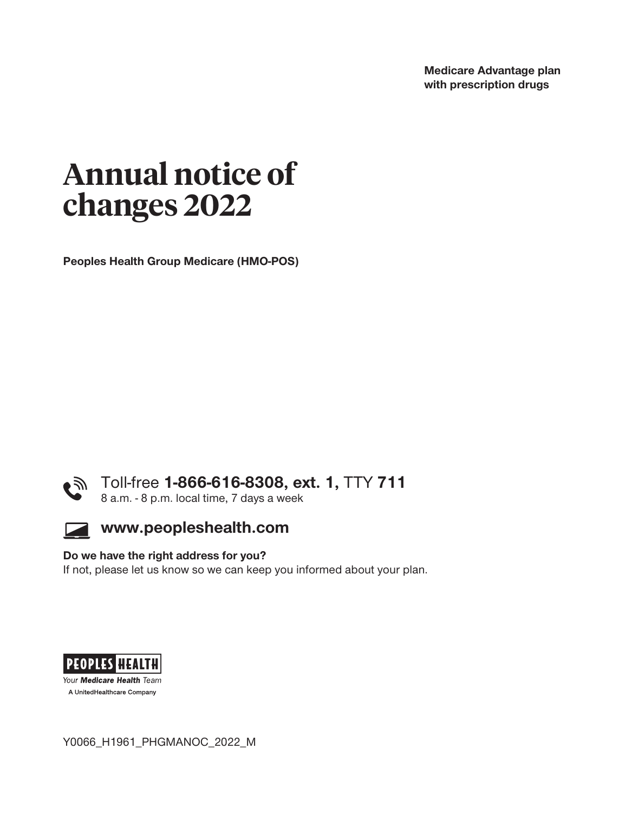**Medicare Advantage plan with prescription drugs** 

# **Annual notice of changes 2022**

**Peoples Health Group Medicare (HMO-POS)** 





#### **Do we have the right address for you?**

**If not, please let us know so we can keep you informed about your plan.** 



A UnitedHealthcare Company

**Y0066\_H1961\_**PHGMANOC**\_2022\_M**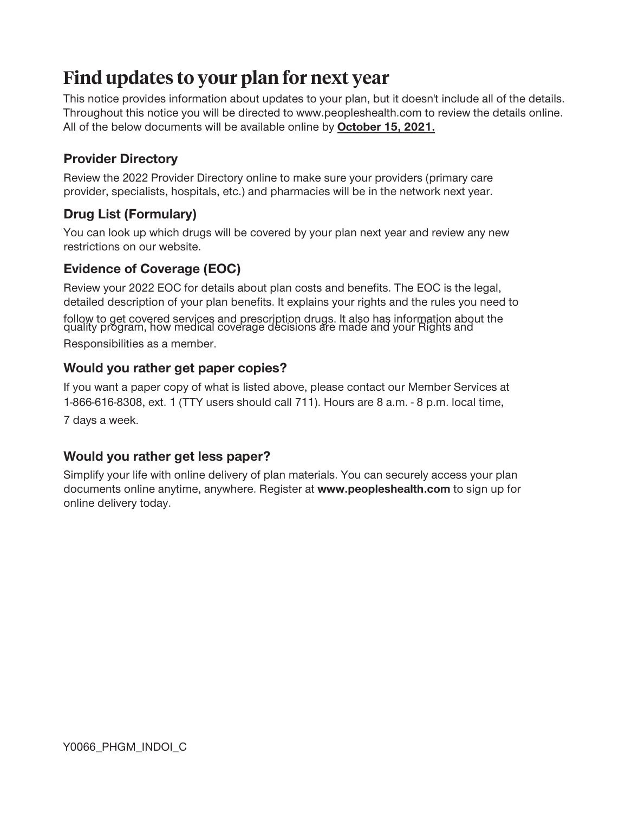## **Find updates to your plan for next year**

**This notice provides information about updates to your plan, but it doesn't include all of the details. Throughout this notice you will be directed to www.peopleshealth.com to review the details online. All of the below documents will be available online by October 15, 2021.** 

#### **Provider Directory**

**Review the 2022 Provider Directory online to make sure your providers (primary care provider, specialists, hospitals, etc.) and pharmacies will be in the network next year.** 

#### **Drug List (Formulary)**

**You can look up which drugs will be covered by your plan next year and review any new restrictions on our website.** 

#### **Evidence of Coverage (EOC)**

**Review your 2022 EOC for details about plan costs and benefits. The EOC is the legal, detailed description of your plan benefits. It explains your rights and the rules you need to** 

**follow to get covered services and prescription drugs. It also has information about the quality program, how medical coverage decisions are made and your Rights and Responsibilities as a member.**

#### **Would you rather get paper copies? If you want a paper copy of what is listed above, please contact our Member Services at**

**1-**866-616-8308, ext. 1 **(TTY users should call 711). Hours are 8 a.m. - 8 p.m. local time,** 

**7 days a week.**

#### **Would you rather get less paper?**

**Simplify your life with online delivery of plan materials. You can securely access your plan documents online anytime, anywhere. Register at www.peopleshealth.com to sign up for online delivery today.**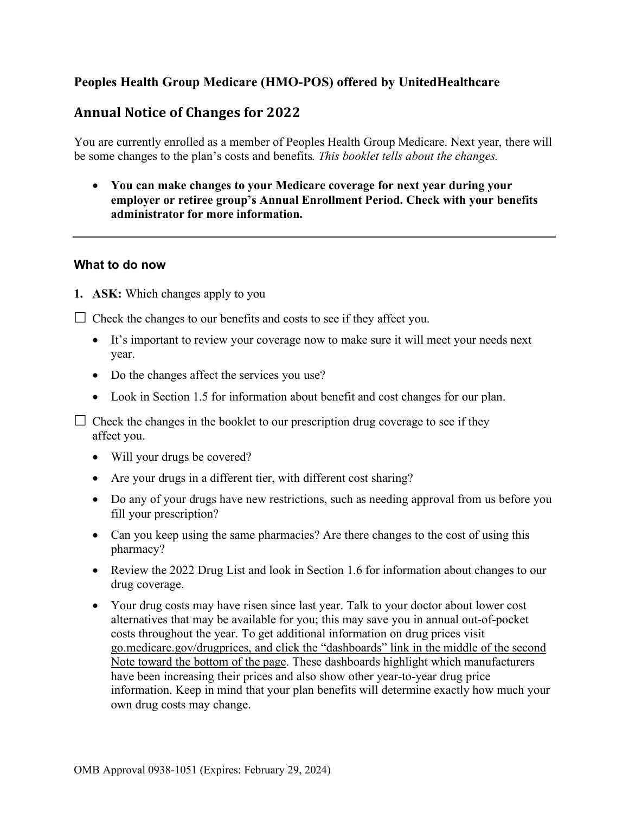#### **Peoples Health Group Medicare (HMO-POS) offered by UnitedHealthcare**

#### **Annual Notice of Changes for 2022**

 You are currently enrolled as a member of Peoples Health Group Medicare. Next year, there will be some changes to the plan's costs and benefits*. This booklet tells about the changes.* 

 • **You can make changes to your Medicare coverage for next year during your employer or retiree group's Annual Enrollment Period. Check with your benefits administrator for more information.** 

#### **What to do now**

**1. ASK:** Which changes apply to you

 $\Box$  Check the changes to our benefits and costs to see if they affect you.

- It's important to review your coverage now to make sure it will meet your needs next year.
- Do the changes affect the services you use?
- Look in Section 1.5 for information about benefit and cost changes for our plan.

 affect you.  $\Box$  Check the changes in the booklet to our prescription drug coverage to see if they

- Will your drugs be covered?
- Are your drugs in a different tier, with different cost sharing?
- fill your prescription? • Do any of your drugs have new restrictions, such as needing approval from us before you
- Can you keep using the same pharmacies? Are there changes to the cost of using this pharmacy?
- Review the 2022 Drug List and look in Section 1.6 for information about changes to our drug coverage.
- Your drug costs may have risen since last year. Talk to your doctor about lower cost alternatives that may be available for you; this may save you in annual out-of-pocket costs throughout the year. To get additional information on drug prices visit go.medicare.gov/drugprices, and click the "dashboards" link in the middle of the second Note toward the bottom of the page. These dashboards highlight which manufacturers have been increasing their prices and also show other year-to-year drug price information. Keep in mind that your plan benefits will determine exactly how much your own drug costs may change.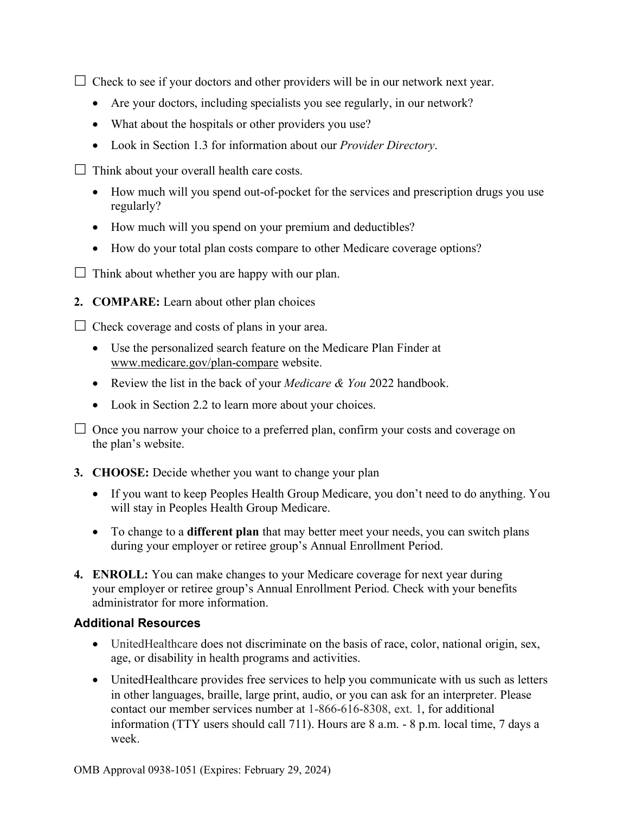$\Box$  Check to see if your doctors and other providers will be in our network next year.

- Are your doctors, including specialists you see regularly, in our network?
- What about the hospitals or other providers you use?
- • Look in Section 1.3 for information about our *Provider Directory*.
- $\Box$  Think about your overall health care costs.
	- How much will you spend out-of-pocket for the services and prescription drugs you use regularly?
	- How much will you spend on your premium and deductibles?
	- • How do your total plan costs compare to other Medicare coverage options?
- $\Box$  Think about whether you are happy with our plan.
- **2. COMPARE:** Learn about other plan choices

 $\Box$  Check coverage and costs of plans in your area.

- <www.medicare.gov/plan-compare> website. • Use the personalized search feature on the Medicare Plan Finder at
- • Review the list in the back of your *Medicare & You* 2022 handbook.
- Look in Section 2.2 to learn more about your choices.

 the plan's website.  $\Box$  Once you narrow your choice to a preferred plan, confirm your costs and coverage on

- **3. CHOOSE:** Decide whether you want to change your plan
	- If you want to keep Peoples Health Group Medicare, you don't need to do anything. You will stay in Peoples Health Group Medicare.
	- To change to a **different plan** that may better meet your needs, you can switch plans during your employer or retiree group's Annual Enrollment Period.
- **4. ENROLL:** You can make changes to your Medicare coverage for next year during your employer or retiree group's Annual Enrollment Period. Check with your benefits administrator for more information.

#### **Additional Resources**

- UnitedHealthcare does not discriminate on the basis of race, color, national origin, sex, age, or disability in health programs and activities.
- in other languages, braille, large print, audio, or you can ask for an interpreter. Please • United Healthcare provides free services to help you communicate with us such as letters contact our member services number at 1-866-616-8308, ext. 1, for additional information (TTY users should call 711). Hours are 8 a.m. - 8 p.m. local time, 7 days a week.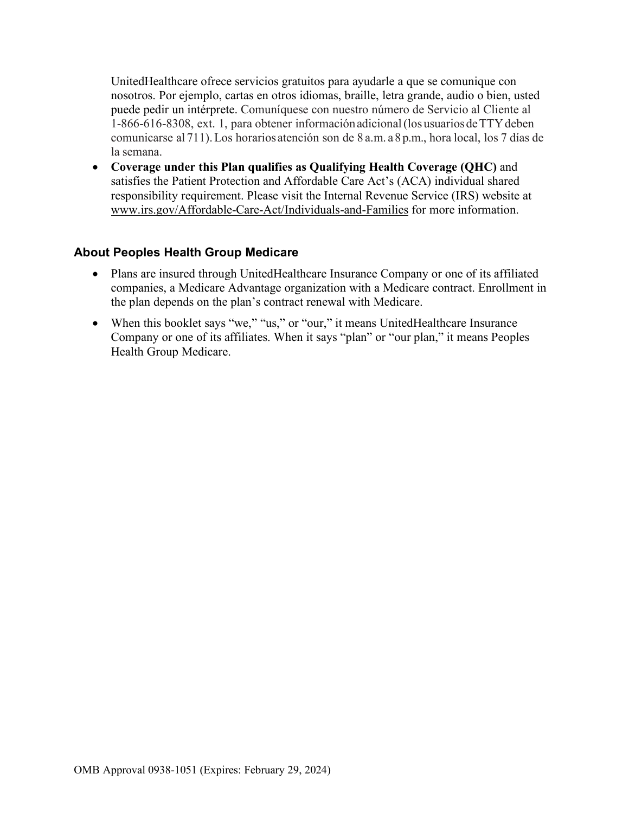UnitedHealthcare ofrece servicios gratuitos para ayudarle a que se comunique con nosotros. Por ejemplo, cartas en otros idiomas, braille, letra grande, audio o bien, usted puede pedir un intérprete. Comuníquese con nuestro número de Servicio al Cliente al 1-866-616-8308, ext. 1, para obtener información adicional (los usuarios de TTY deben comunicarse al 711). Los horariosatención son de 8 a.m. a8p.m., hora local, los 7 días de la semana.

• **Coverage under this Plan qualifies as Qualifying Health Coverage (QHC)** and satisfies the Patient Protection and Affordable Care Act's (ACA) individual shared responsibility requirement. Please visit the Internal Revenue Service (IRS) website at <www.irs.gov/Affordable-Care-Act/Individuals-and-Families>for more information.

#### **About Peoples Health Group Medicare**

- Plans are insured through UnitedHealthcare Insurance Company or one of its affiliated companies, a Medicare Advantage organization with a Medicare contract. Enrollment in the plan depends on the plan's contract renewal with Medicare.
- When this booklet says "we," "us," or "our," it means UnitedHealthcare Insurance Company or one of its affiliates. When it says "plan" or "our plan," it means Peoples Health Group Medicare.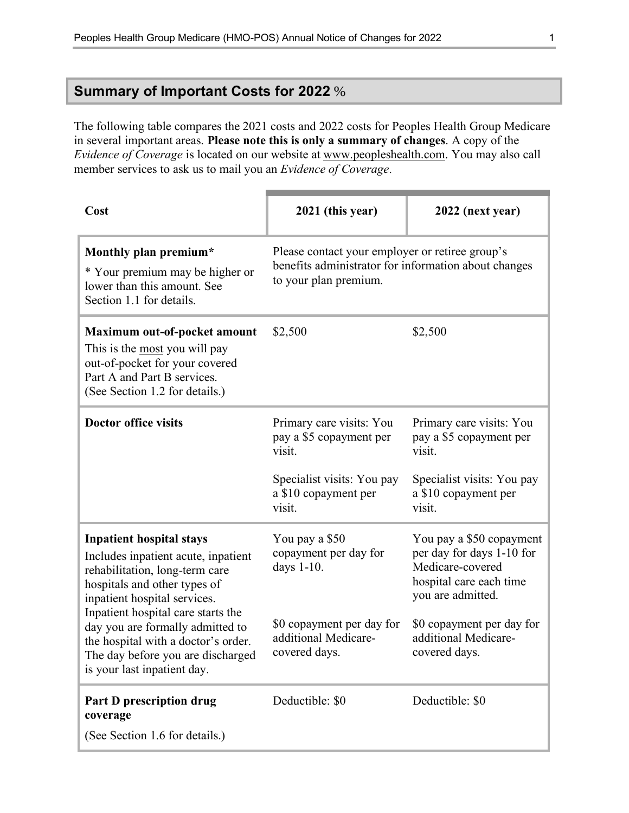#### **Summary of Important Costs for 2022** %

 The following table compares the 2021 costs and 2022 costs for Peoples Health Group Medicare in several important areas. **Please note this is only a summary of changes**. A copy of the  *Evidence of Coverage* is located on our website at www.peopleshealth.com. You may also call member services to ask us to mail you an *Evidence of Coverage*.

| Cost                                                                                                                                                                              | 2021 (this year)                                                                                                                 | 2022 (next year)                                                                                                          |
|-----------------------------------------------------------------------------------------------------------------------------------------------------------------------------------|----------------------------------------------------------------------------------------------------------------------------------|---------------------------------------------------------------------------------------------------------------------------|
| Monthly plan premium*<br>* Your premium may be higher or<br>lower than this amount. See<br>Section 1.1 for details.                                                               | Please contact your employer or retiree group's<br>benefits administrator for information about changes<br>to your plan premium. |                                                                                                                           |
| Maximum out-of-pocket amount<br>This is the most you will pay<br>out-of-pocket for your covered<br>Part A and Part B services.<br>(See Section 1.2 for details.)                  | \$2,500                                                                                                                          | \$2,500                                                                                                                   |
| <b>Doctor office visits</b>                                                                                                                                                       | Primary care visits: You<br>pay a \$5 copayment per<br>visit.                                                                    | Primary care visits: You<br>pay a \$5 copayment per<br>visit.                                                             |
|                                                                                                                                                                                   | Specialist visits: You pay<br>a \$10 copayment per<br>visit.                                                                     | Specialist visits: You pay<br>a \$10 copayment per<br>visit.                                                              |
| <b>Inpatient hospital stays</b><br>Includes inpatient acute, inpatient<br>rehabilitation, long-term care<br>hospitals and other types of<br>inpatient hospital services.          | You pay a \$50<br>copayment per day for<br>days 1-10.                                                                            | You pay a \$50 copayment<br>per day for days 1-10 for<br>Medicare-covered<br>hospital care each time<br>you are admitted. |
| Inpatient hospital care starts the<br>day you are formally admitted to<br>the hospital with a doctor's order.<br>The day before you are discharged<br>is your last inpatient day. | \$0 copayment per day for<br>additional Medicare-<br>covered days.                                                               | \$0 copayment per day for<br>additional Medicare-<br>covered days.                                                        |
| Part D prescription drug<br>coverage<br>(See Section 1.6 for details.)                                                                                                            | Deductible: \$0                                                                                                                  | Deductible: \$0                                                                                                           |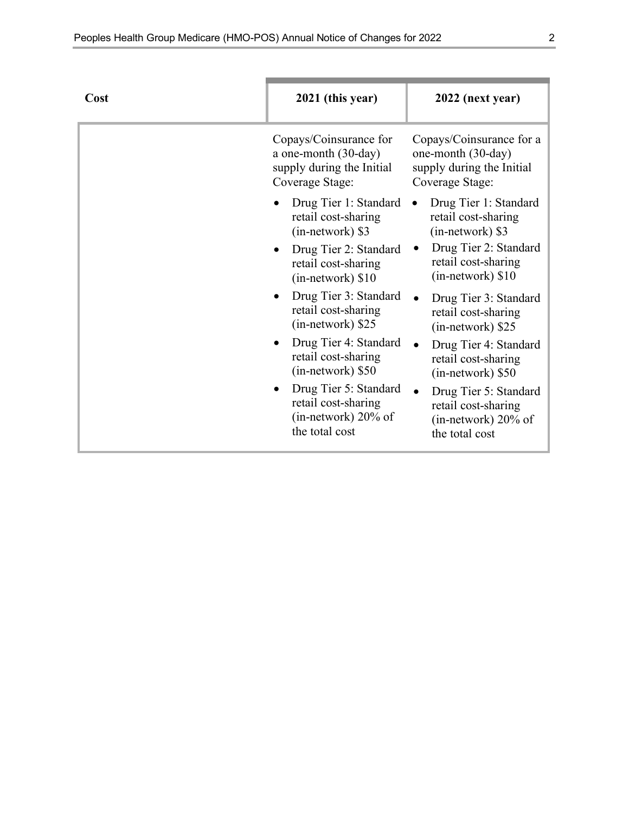| Cost | 2021 (this year)                                                                                                                                                   | 2022 (next year)                                                                                                                                                 |
|------|--------------------------------------------------------------------------------------------------------------------------------------------------------------------|------------------------------------------------------------------------------------------------------------------------------------------------------------------|
|      | Copays/Coinsurance for<br>a one-month (30-day)<br>supply during the Initial<br>Coverage Stage:                                                                     | Copays/Coinsurance for a<br>one-month (30-day)<br>supply during the Initial<br>Coverage Stage:                                                                   |
|      | Drug Tier 1: Standard<br>retail cost-sharing<br>$(in-network)$ \$3<br>Drug Tier 2: Standard<br>retail cost-sharing<br>$(in-network)$ \$10<br>Drug Tier 3: Standard | Drug Tier 1: Standard<br>retail cost-sharing<br>(in-network) \$3<br>Drug Tier 2: Standard<br>retail cost-sharing<br>$(in-network)$ \$10<br>Drug Tier 3: Standard |
|      | retail cost-sharing<br>(in-network) \$25<br>Drug Tier 4: Standard<br>retail cost-sharing<br>(in-network) \$50                                                      | retail cost-sharing<br>(in-network) \$25<br>Drug Tier 4: Standard<br>retail cost-sharing<br>(in-network) \$50                                                    |
|      | Drug Tier 5: Standard<br>retail cost-sharing<br>$(in-network) 20\%$ of<br>the total cost                                                                           | Drug Tier 5: Standard<br>retail cost-sharing<br>(in-network) 20% of<br>the total cost                                                                            |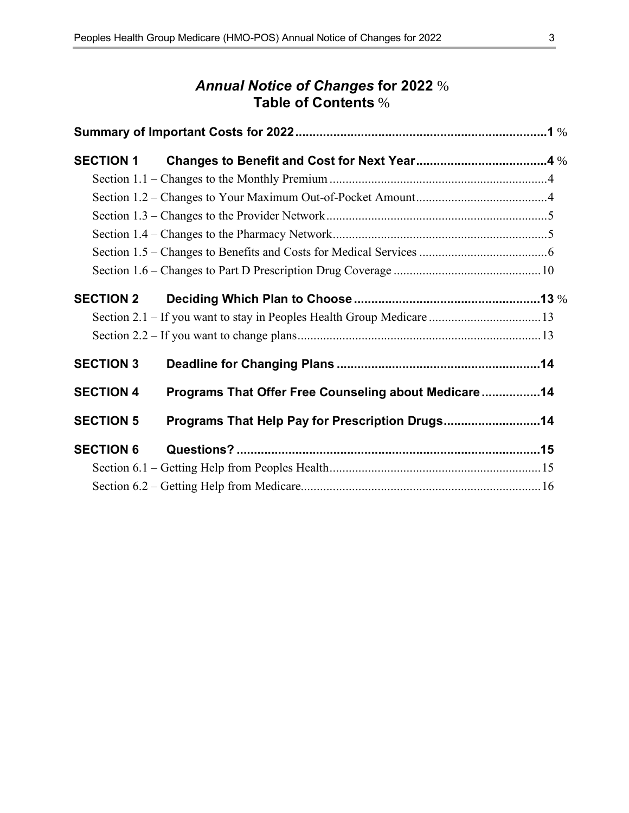#### *Annual Notice of Changes* **for 2022** %  **Table of Contents** %

| <b>SECTION 1</b> |                                                       |  |
|------------------|-------------------------------------------------------|--|
|                  |                                                       |  |
|                  |                                                       |  |
|                  |                                                       |  |
|                  |                                                       |  |
|                  |                                                       |  |
|                  |                                                       |  |
| <b>SECTION 2</b> |                                                       |  |
|                  |                                                       |  |
|                  |                                                       |  |
| <b>SECTION 3</b> |                                                       |  |
| <b>SECTION 4</b> | Programs That Offer Free Counseling about Medicare 14 |  |
| <b>SECTION 5</b> | Programs That Help Pay for Prescription Drugs 14      |  |
| <b>SECTION 6</b> |                                                       |  |
|                  |                                                       |  |
|                  |                                                       |  |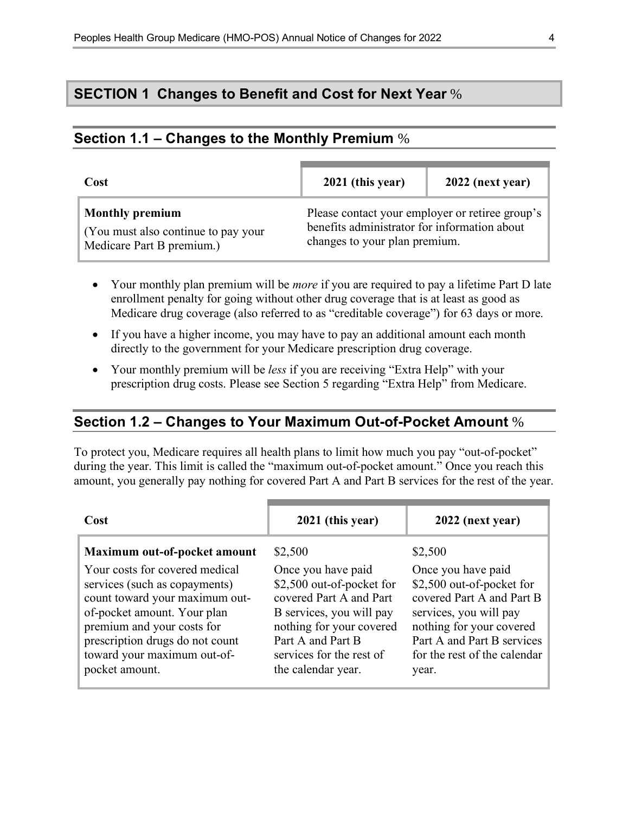#### **SECTION 1 Changes to Benefit and Cost for Next Year** %

#### **Section 1.1 – Changes to the Monthly Premium** %

| Cost                                                                                        | 2021 (this year)                                                                                                                 | 2022 (next year) |
|---------------------------------------------------------------------------------------------|----------------------------------------------------------------------------------------------------------------------------------|------------------|
| <b>Monthly premium</b><br>(You must also continue to pay your)<br>Medicare Part B premium.) | Please contact your employer or retiree group's<br>benefits administrator for information about<br>changes to your plan premium. |                  |

- • Your monthly plan premium will be *more* if you are required to pay a lifetime Part D late enrollment penalty for going without other drug coverage that is at least as good as Medicare drug coverage (also referred to as "creditable coverage") for 63 days or more.
- If you have a higher income, you may have to pay an additional amount each month directly to the government for your Medicare prescription drug coverage.
- • Your monthly premium will be *less* if you are receiving "Extra Help" with your prescription drug costs. Please see Section 5 regarding "Extra Help" from Medicare.

#### **Section 1.2 – Changes to Your Maximum Out-of-Pocket Amount** %

 To protect you, Medicare requires all health plans to limit how much you pay "out-of-pocket" during the year. This limit is called the "maximum out-of-pocket amount." Once you reach this amount, you generally pay nothing for covered Part A and Part B services for the rest of the year.

| Cost                                                                                                                                                                                                                                               | 2021 (this year)                                                                                                                                                                                          | 2022 (next year)                                                                                                                                                                                          |
|----------------------------------------------------------------------------------------------------------------------------------------------------------------------------------------------------------------------------------------------------|-----------------------------------------------------------------------------------------------------------------------------------------------------------------------------------------------------------|-----------------------------------------------------------------------------------------------------------------------------------------------------------------------------------------------------------|
| Maximum out-of-pocket amount                                                                                                                                                                                                                       | \$2,500                                                                                                                                                                                                   | \$2,500                                                                                                                                                                                                   |
| Your costs for covered medical<br>services (such as copayments)<br>count toward your maximum out-<br>of-pocket amount. Your plan<br>premium and your costs for<br>prescription drugs do not count<br>toward your maximum out-of-<br>pocket amount. | Once you have paid<br>\$2,500 out-of-pocket for<br>covered Part A and Part<br>B services, you will pay<br>nothing for your covered<br>Part A and Part B<br>services for the rest of<br>the calendar year. | Once you have paid<br>\$2,500 out-of-pocket for<br>covered Part A and Part B<br>services, you will pay<br>nothing for your covered<br>Part A and Part B services<br>for the rest of the calendar<br>year. |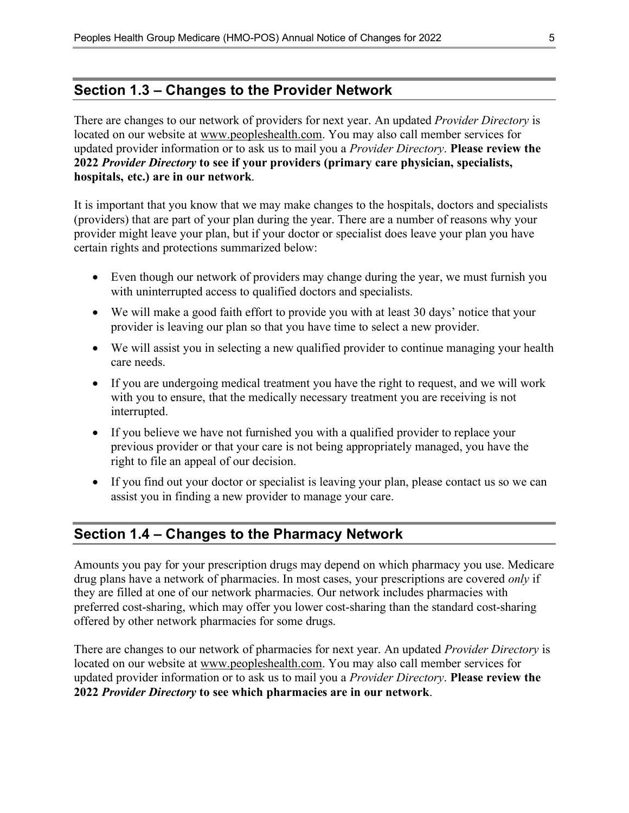#### **Section 1.3 – Changes to the Provider Network**

 There are changes to our network of providers for next year. An updated *Provider Directory* is located on our website at www.peopleshealth.com. You may also call member services for updated provider information or to ask us to mail you a *Provider Directory*. **Please review the 2022** *Provider Directory* **to see if your providers (primary care physician, specialists, hospitals, etc.) are in our network**.

 It is important that you know that we may make changes to the hospitals, doctors and specialists (providers) that are part of your plan during the year. There are a number of reasons why your provider might leave your plan, but if your doctor or specialist does leave your plan you have certain rights and protections summarized below:

- Even though our network of providers may change during the year, we must furnish you with uninterrupted access to qualified doctors and specialists.
- We will make a good faith effort to provide you with at least 30 days' notice that your provider is leaving our plan so that you have time to select a new provider.
- We will assist you in selecting a new qualified provider to continue managing your health care needs.
- If you are undergoing medical treatment you have the right to request, and we will work with you to ensure, that the medically necessary treatment you are receiving is not interrupted.
- If you believe we have not furnished you with a qualified provider to replace your previous provider or that your care is not being appropriately managed, you have the right to file an appeal of our decision.
- If you find out your doctor or specialist is leaving your plan, please contact us so we can assist you in finding a new provider to manage your care.

#### **Section 1.4 – Changes to the Pharmacy Network**

 Amounts you pay for your prescription drugs may depend on which pharmacy you use. Medicare drug plans have a network of pharmacies. In most cases, your prescriptions are covered *only* if they are filled at one of our network pharmacies. Our network includes pharmacies with preferred cost-sharing, which may offer you lower cost-sharing than the standard cost-sharing offered by other network pharmacies for some drugs.

 There are changes to our network of pharmacies for next year. An updated *Provider Directory* is located on our website at www.peopleshealth.com. You may also call member services for updated provider information or to ask us to mail you a *Provider Directory*. **Please review the 2022** *Provider Directory* **to see which pharmacies are in our network**.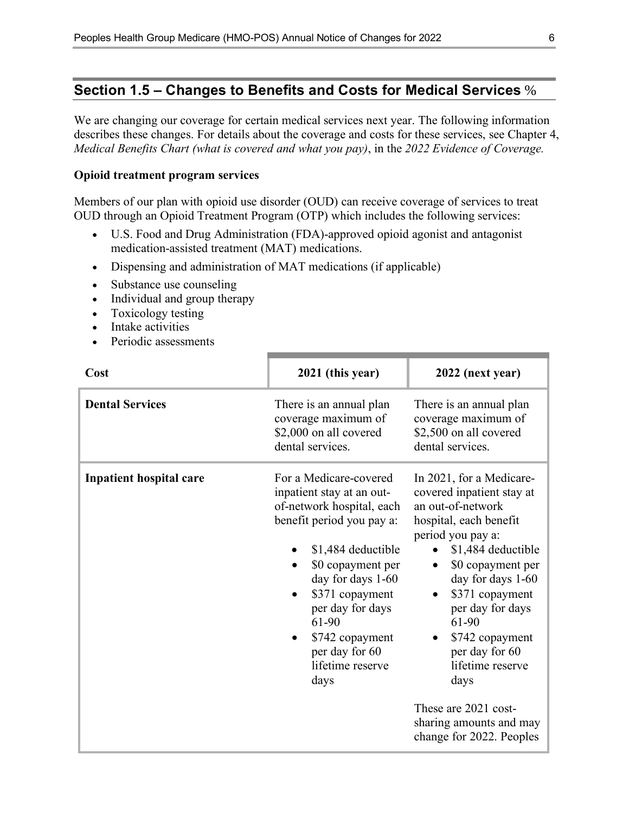#### **Section 1.5 – Changes to Benefits and Costs for Medical Services** %

 We are changing our coverage for certain medical services next year. The following information describes these changes. For details about the coverage and costs for these services, see Chapter 4,  *Medical Benefits Chart (what is covered and what you pay)*, in the *2022 Evidence of Coverage.* 

#### **Opioid treatment program services**

 Members of our plan with opioid use disorder (OUD) can receive coverage of services to treat OUD through an Opioid Treatment Program (OTP) which includes the following services:

- • U.S. Food and Drug Administration (FDA)-approved opioid agonist and antagonist medication-assisted treatment (MAT) medications.
- Dispensing and administration of MAT medications (if applicable)
- Substance use counseling
- Individual and group therapy
- Toxicology testing
- Intake activities
- Periodic assessments

| Cost                           | 2021 (this year)                                                                                                                                                                                                                                                                                 | 2022 (next year)                                                                                                                                                                                                                                                                                           |
|--------------------------------|--------------------------------------------------------------------------------------------------------------------------------------------------------------------------------------------------------------------------------------------------------------------------------------------------|------------------------------------------------------------------------------------------------------------------------------------------------------------------------------------------------------------------------------------------------------------------------------------------------------------|
| <b>Dental Services</b>         | There is an annual plan<br>coverage maximum of<br>\$2,000 on all covered<br>dental services.                                                                                                                                                                                                     | There is an annual plan<br>coverage maximum of<br>\$2,500 on all covered<br>dental services.                                                                                                                                                                                                               |
| <b>Inpatient hospital care</b> | For a Medicare-covered<br>inpatient stay at an out-<br>of-network hospital, each<br>benefit period you pay a:<br>\$1,484 deductible<br>\$0 copayment per<br>day for days 1-60<br>\$371 copayment<br>per day for days<br>$61-90$<br>\$742 copayment<br>per day for 60<br>lifetime reserve<br>days | In 2021, for a Medicare-<br>covered inpatient stay at<br>an out-of-network<br>hospital, each benefit<br>period you pay a:<br>\$1,484 deductible<br>\$0 copayment per<br>day for days 1-60<br>\$371 copayment<br>per day for days<br>61-90<br>\$742 copayment<br>per day for 60<br>lifetime reserve<br>days |
|                                |                                                                                                                                                                                                                                                                                                  | These are 2021 cost-<br>sharing amounts and may<br>change for 2022. Peoples                                                                                                                                                                                                                                |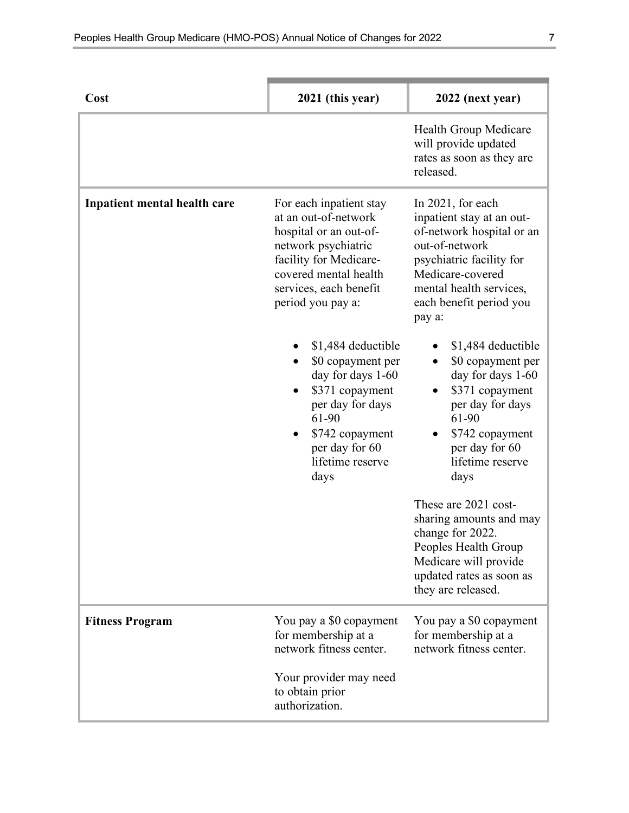| Cost                         | 2021 (this year)                                                                                                                                                                                   | 2022 (next year)                                                                                                                                                                                                 |
|------------------------------|----------------------------------------------------------------------------------------------------------------------------------------------------------------------------------------------------|------------------------------------------------------------------------------------------------------------------------------------------------------------------------------------------------------------------|
|                              |                                                                                                                                                                                                    | Health Group Medicare<br>will provide updated<br>rates as soon as they are<br>released.                                                                                                                          |
| Inpatient mental health care | For each inpatient stay<br>at an out-of-network<br>hospital or an out-of-<br>network psychiatric<br>facility for Medicare-<br>covered mental health<br>services, each benefit<br>period you pay a: | In $2021$ , for each<br>inpatient stay at an out-<br>of-network hospital or an<br>out-of-network<br>psychiatric facility for<br>Medicare-covered<br>mental health services,<br>each benefit period you<br>pay a: |
|                              | \$1,484 deductible<br>\$0 copayment per<br>day for days 1-60<br>\$371 copayment<br>per day for days<br>61-90<br>\$742 copayment<br>per day for 60<br>lifetime reserve<br>days                      | \$1,484 deductible<br>\$0 copayment per<br>day for days 1-60<br>\$371 copayment<br>per day for days<br>61-90<br>\$742 copayment<br>per day for 60<br>lifetime reserve<br>days                                    |
|                              |                                                                                                                                                                                                    | These are 2021 cost-<br>sharing amounts and may<br>change for 2022.<br>Peoples Health Group<br>Medicare will provide<br>updated rates as soon as<br>they are released.                                           |
| <b>Fitness Program</b>       | You pay a \$0 copayment<br>for membership at a<br>network fitness center.                                                                                                                          | You pay a \$0 copayment<br>for membership at a<br>network fitness center.                                                                                                                                        |
|                              | Your provider may need<br>to obtain prior<br>authorization.                                                                                                                                        |                                                                                                                                                                                                                  |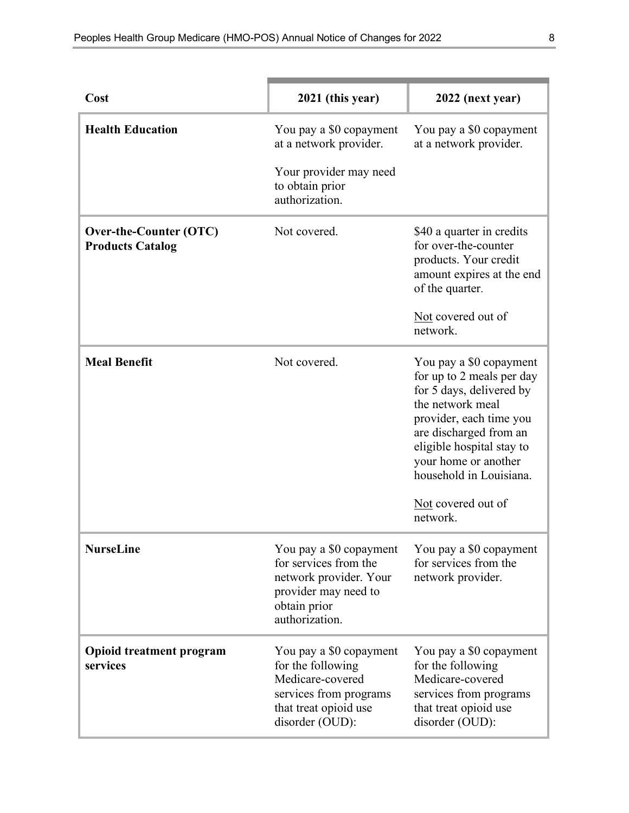| Cost                                              | 2021 (this year)                                                                                                                       | 2022 (next year)                                                                                                                                                                                                                                                            |
|---------------------------------------------------|----------------------------------------------------------------------------------------------------------------------------------------|-----------------------------------------------------------------------------------------------------------------------------------------------------------------------------------------------------------------------------------------------------------------------------|
| <b>Health Education</b>                           | You pay a \$0 copayment<br>at a network provider.                                                                                      | You pay a \$0 copayment<br>at a network provider.                                                                                                                                                                                                                           |
|                                                   | Your provider may need<br>to obtain prior<br>authorization.                                                                            |                                                                                                                                                                                                                                                                             |
| Over-the-Counter (OTC)<br><b>Products Catalog</b> | Not covered.                                                                                                                           | \$40 a quarter in credits<br>for over-the-counter<br>products. Your credit<br>amount expires at the end<br>of the quarter.                                                                                                                                                  |
|                                                   |                                                                                                                                        | Not covered out of<br>network.                                                                                                                                                                                                                                              |
| <b>Meal Benefit</b>                               | Not covered.                                                                                                                           | You pay a \$0 copayment<br>for up to 2 meals per day<br>for 5 days, delivered by<br>the network meal<br>provider, each time you<br>are discharged from an<br>eligible hospital stay to<br>your home or another<br>household in Louisiana.<br>Not covered out of<br>network. |
| <b>NurseLine</b>                                  | You pay a \$0 copayment<br>for services from the<br>network provider. Your<br>provider may need to<br>obtain prior<br>authorization.   | You pay a \$0 copayment<br>for services from the<br>network provider.                                                                                                                                                                                                       |
| <b>Opioid treatment program</b><br>services       | You pay a \$0 copayment<br>for the following<br>Medicare-covered<br>services from programs<br>that treat opioid use<br>disorder (OUD): | You pay a \$0 copayment<br>for the following<br>Medicare-covered<br>services from programs<br>that treat opioid use<br>disorder (OUD):                                                                                                                                      |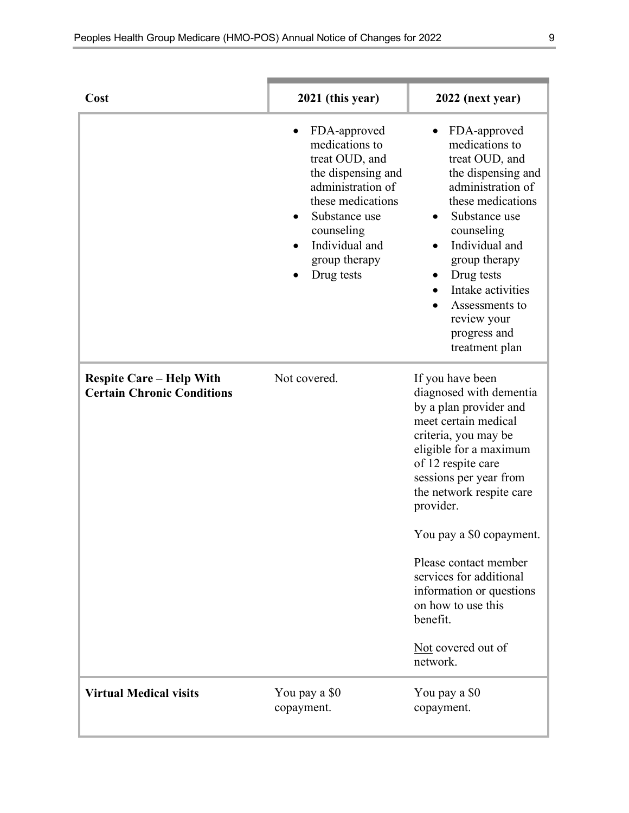| Cost                                                                 | 2021 (this year)                                                                                                                                                                                 | 2022 (next year)                                                                                                                                                                                                                                                                                                                                                                                                         |
|----------------------------------------------------------------------|--------------------------------------------------------------------------------------------------------------------------------------------------------------------------------------------------|--------------------------------------------------------------------------------------------------------------------------------------------------------------------------------------------------------------------------------------------------------------------------------------------------------------------------------------------------------------------------------------------------------------------------|
|                                                                      | FDA-approved<br>medications to<br>treat OUD, and<br>the dispensing and<br>administration of<br>these medications<br>Substance use<br>counseling<br>Individual and<br>group therapy<br>Drug tests | FDA-approved<br>medications to<br>treat OUD, and<br>the dispensing and<br>administration of<br>these medications<br>Substance use<br>counseling<br>Individual and<br>group therapy<br>Drug tests<br>Intake activities<br>Assessments to<br>$\bullet$<br>review your<br>progress and<br>treatment plan                                                                                                                    |
| <b>Respite Care – Help With</b><br><b>Certain Chronic Conditions</b> | Not covered.                                                                                                                                                                                     | If you have been<br>diagnosed with dementia<br>by a plan provider and<br>meet certain medical<br>criteria, you may be<br>eligible for a maximum<br>of 12 respite care<br>sessions per year from<br>the network respite care<br>provider.<br>You pay a \$0 copayment.<br>Please contact member<br>services for additional<br>information or questions<br>on how to use this<br>benefit.<br>Not covered out of<br>network. |
| <b>Virtual Medical visits</b>                                        | You pay a \$0<br>copayment.                                                                                                                                                                      | You pay a \$0<br>copayment.                                                                                                                                                                                                                                                                                                                                                                                              |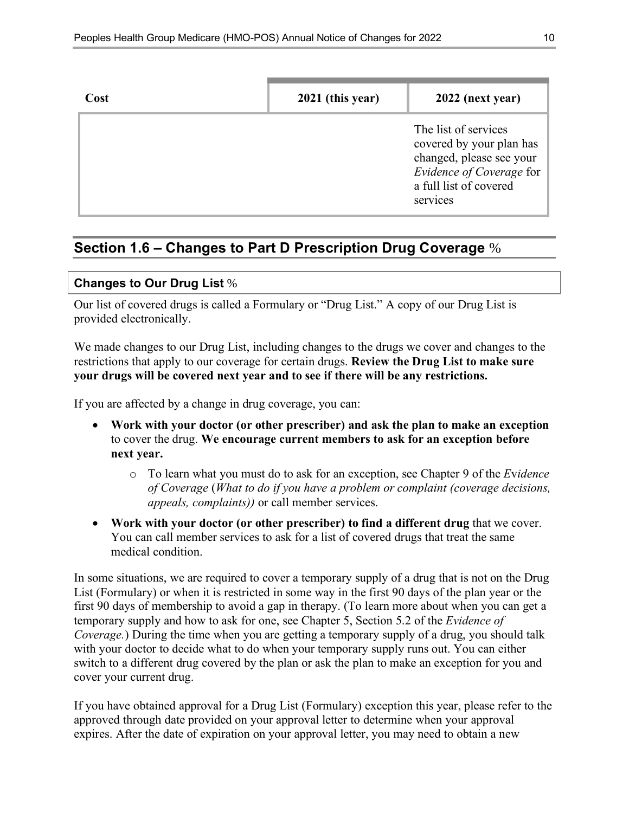| Cost | 2021 (this year) | 2022 (next year)                                                                                                                               |
|------|------------------|------------------------------------------------------------------------------------------------------------------------------------------------|
|      |                  | The list of services<br>covered by your plan has<br>changed, please see your<br>Evidence of Coverage for<br>a full list of covered<br>services |

#### **Section 1.6 – Changes to Part D Prescription Drug Coverage** %

#### **Changes to Our Drug List** %

 Our list of covered drugs is called a Formulary or "Drug List." A copy of our Drug List is provided electronically.

 We made changes to our Drug List, including changes to the drugs we cover and changes to the restrictions that apply to our coverage for certain drugs. **Review the Drug List to make sure your drugs will be covered next year and to see if there will be any restrictions.** 

If you are affected by a change in drug coverage, you can:

- Work with your doctor (or other prescriber) and ask the plan to make an exception to cover the drug. **We encourage current members to ask for an exception before next year.** 
	- o To learn what you must do to ask for an exception, see Chapter 9 of the *E*v*idence of Coverage* (*What to do if you have a problem or complaint (coverage decisions, appeals, complaints))* or call member services.
- • **Work with your doctor (or other prescriber) to find a different drug** that we cover. You can call member services to ask for a list of covered drugs that treat the same medical condition.

 In some situations, we are required to cover a temporary supply of a drug that is not on the Drug List (Formulary) or when it is restricted in some way in the first 90 days of the plan year or the first 90 days of membership to avoid a gap in therapy. (To learn more about when you can get a temporary supply and how to ask for one, see Chapter 5, Section 5.2 of the *Evidence of Coverage.*) During the time when you are getting a temporary supply of a drug, you should talk with your doctor to decide what to do when your temporary supply runs out. You can either switch to a different drug covered by the plan or ask the plan to make an exception for you and cover your current drug.

 If you have obtained approval for a Drug List (Formulary) exception this year, please refer to the approved through date provided on your approval letter to determine when your approval expires. After the date of expiration on your approval letter, you may need to obtain a new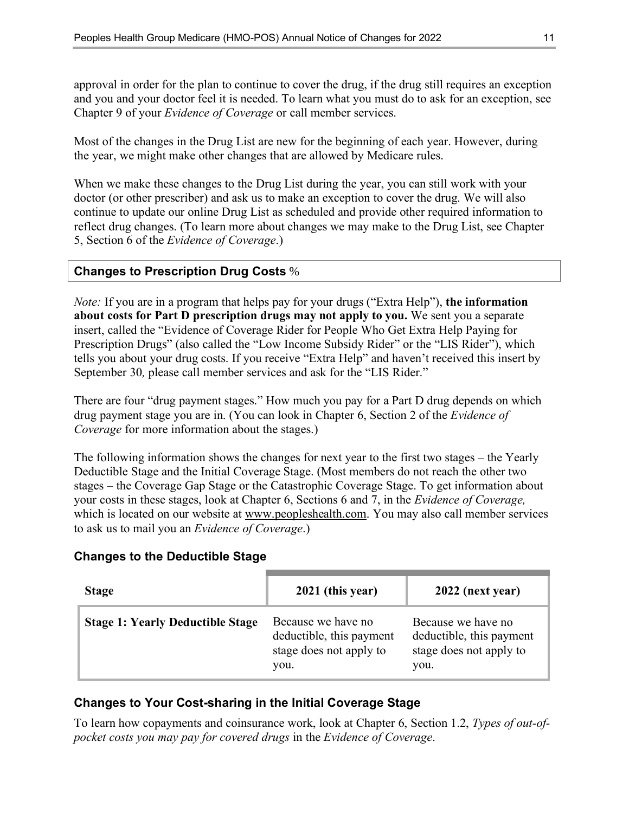approval in order for the plan to continue to cover the drug, if the drug still requires an exception and you and your doctor feel it is needed. To learn what you must do to ask for an exception, see Chapter 9 of your *Evidence of Coverage* or call member services.

 Most of the changes in the Drug List are new for the beginning of each year. However, during the year, we might make other changes that are allowed by Medicare rules.

 When we make these changes to the Drug List during the year, you can still work with your doctor (or other prescriber) and ask us to make an exception to cover the drug. We will also continue to update our online Drug List as scheduled and provide other required information to reflect drug changes. (To learn more about changes we may make to the Drug List, see Chapter 5, Section 6 of the *Evidence of Coverage*.)

#### **Changes to Prescription Drug Costs** %

 *Note:* If you are in a program that helps pay for your drugs ("Extra Help"), **the information about costs for Part D prescription drugs may not apply to you.** We sent you a separate insert, called the "Evidence of Coverage Rider for People Who Get Extra Help Paying for Prescription Drugs" (also called the "Low Income Subsidy Rider" or the "LIS Rider"), which tells you about your drug costs. If you receive "Extra Help" and haven't received this insert by September 30*,* please call member services and ask for the "LIS Rider."

 There are four "drug payment stages." How much you pay for a Part D drug depends on which drug payment stage you are in. (You can look in Chapter 6, Section 2 of the *Evidence of Coverage* for more information about the stages.)

 The following information shows the changes for next year to the first two stages – the Yearly Deductible Stage and the Initial Coverage Stage. (Most members do not reach the other two stages – the Coverage Gap Stage or the Catastrophic Coverage Stage. To get information about your costs in these stages, look at Chapter 6, Sections 6 and 7, in the *Evidence of Coverage,*  which is located on our website at www.peopleshealth.com. You may also call member services to ask us to mail you an *Evidence of Coverage*.)

#### **Changes to the Deductible Stage**

| <b>Stage</b>                            | 2021 (this year)                                                                  | 2022 (next year)                                                                  |
|-----------------------------------------|-----------------------------------------------------------------------------------|-----------------------------------------------------------------------------------|
| <b>Stage 1: Yearly Deductible Stage</b> | Because we have no<br>deductible, this payment<br>stage does not apply to<br>you. | Because we have no<br>deductible, this payment<br>stage does not apply to<br>you. |

#### **Changes to Your Cost-sharing in the Initial Coverage Stage**

 To learn how copayments and coinsurance work, look at Chapter 6, Section 1.2, *Types of out-of- pocket costs you may pay for covered drugs* in the *Evidence of Coverage*.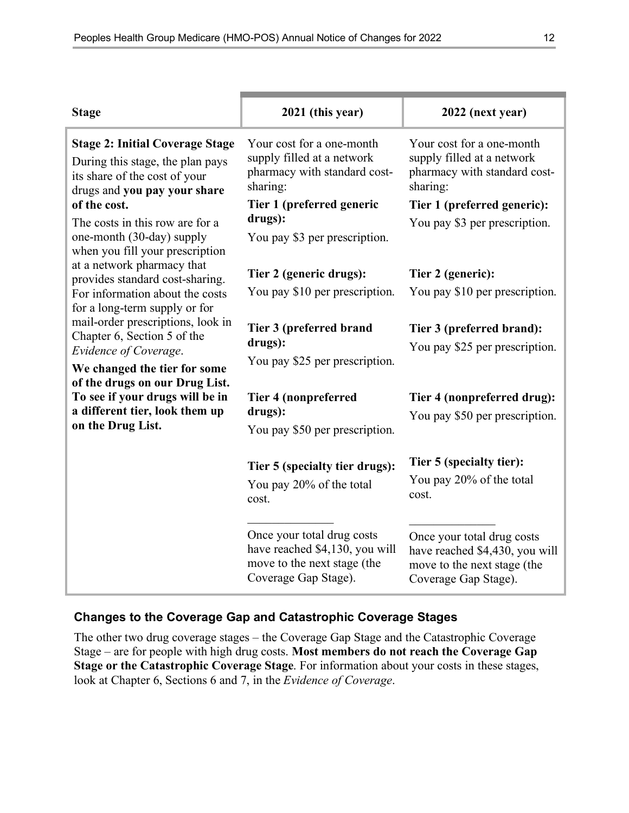| <b>Stage</b>                                                                                                                                | 2021 (this year)                                                                                                    | 2022 (next year)                                                                                                    |
|---------------------------------------------------------------------------------------------------------------------------------------------|---------------------------------------------------------------------------------------------------------------------|---------------------------------------------------------------------------------------------------------------------|
| <b>Stage 2: Initial Coverage Stage</b><br>During this stage, the plan pays<br>its share of the cost of your<br>drugs and you pay your share | Your cost for a one-month<br>supply filled at a network<br>pharmacy with standard cost-<br>sharing:                 | Your cost for a one-month<br>supply filled at a network<br>pharmacy with standard cost-<br>sharing:                 |
| of the cost.<br>The costs in this row are for a                                                                                             | Tier 1 (preferred generic<br>drugs):                                                                                | Tier 1 (preferred generic):<br>You pay \$3 per prescription.                                                        |
| one-month (30-day) supply<br>when you fill your prescription<br>at a network pharmacy that                                                  | You pay \$3 per prescription.<br>Tier 2 (generic drugs):                                                            | Tier 2 (generic):                                                                                                   |
| provides standard cost-sharing.<br>For information about the costs<br>for a long-term supply or for                                         | You pay \$10 per prescription.                                                                                      | You pay \$10 per prescription.                                                                                      |
| mail-order prescriptions, look in<br>Chapter 6, Section 5 of the<br>Evidence of Coverage.<br>We changed the tier for some                   | Tier 3 (preferred brand<br>drugs):<br>You pay \$25 per prescription.                                                | Tier 3 (preferred brand):<br>You pay \$25 per prescription.                                                         |
| of the drugs on our Drug List.<br>To see if your drugs will be in<br>a different tier, look them up<br>on the Drug List.                    | <b>Tier 4 (nonpreferred</b><br>drugs):<br>You pay \$50 per prescription.                                            | Tier 4 (nonpreferred drug):<br>You pay \$50 per prescription.                                                       |
|                                                                                                                                             | Tier 5 (specialty tier drugs):<br>You pay 20% of the total<br>cost.                                                 | Tier 5 (specialty tier):<br>You pay 20% of the total<br>cost.                                                       |
|                                                                                                                                             | Once your total drug costs<br>have reached \$4,130, you will<br>move to the next stage (the<br>Coverage Gap Stage). | Once your total drug costs<br>have reached \$4,430, you will<br>move to the next stage (the<br>Coverage Gap Stage). |

#### **Changes to the Coverage Gap and Catastrophic Coverage Stages**

 The other two drug coverage stages – the Coverage Gap Stage and the Catastrophic Coverage Stage – are for people with high drug costs. **Most members do not reach the Coverage Gap Stage or the Catastrophic Coverage Stage**. For information about your costs in these stages, look at Chapter 6, Sections 6 and 7, in the *Evidence of Coverage*.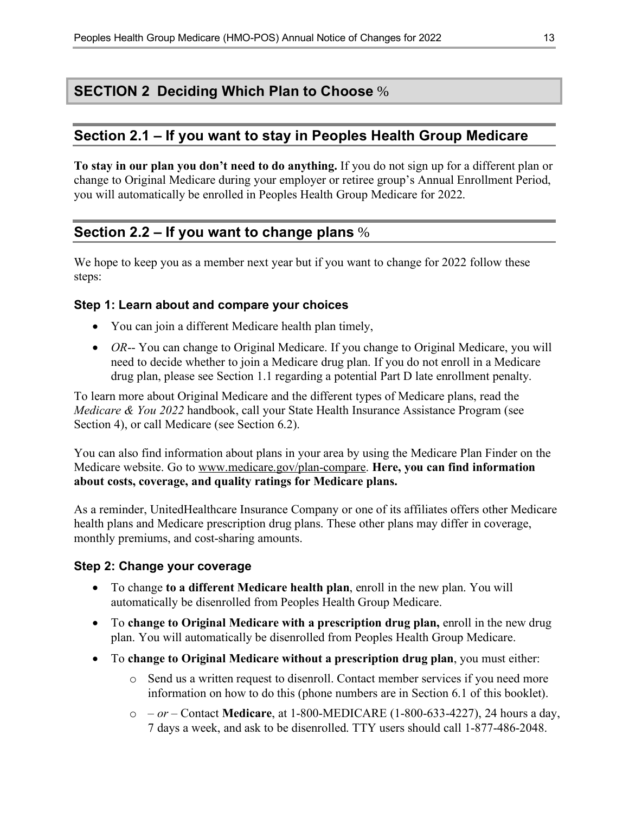#### **SECTION 2 Deciding Which Plan to Choose** %

#### **Section 2.1 – If you want to stay in Peoples Health Group Medicare**

 **To stay in our plan you don't need to do anything.** If you do not sign up for a different plan or change to Original Medicare during your employer or retiree group's Annual Enrollment Period, you will automatically be enrolled in Peoples Health Group Medicare for 2022.

#### **Section 2.2 – If you want to change plans** %

 We hope to keep you as a member next year but if you want to change for 2022 follow these steps:

#### **Step 1: Learn about and compare your choices**

- • You can join a different Medicare health plan timely,
- *OR*-- You can change to Original Medicare. If you change to Original Medicare, you will need to decide whether to join a Medicare drug plan. If you do not enroll in a Medicare drug plan, please see Section 1.1 regarding a potential Part D late enrollment penalty.

 To learn more about Original Medicare and the different types of Medicare plans, read the  *Medicare & You 2022* handbook, call your State Health Insurance Assistance Program (see Section 4), or call Medicare (see Section 6.2).

 You can also find information about plans in your area by using the Medicare Plan Finder on the Medicare website. Go to www.medicare.gov/plan-compare. **Here, you can find information about costs, coverage, and quality ratings for Medicare plans.** 

 As a reminder, UnitedHealthcare Insurance Company or one of its affiliates offers other Medicare health plans and Medicare prescription drug plans. These other plans may differ in coverage, monthly premiums, and cost-sharing amounts.

#### **Step 2: Change your coverage**

- • To change **to a different Medicare health plan**, enroll in the new plan. You will automatically be disenrolled from Peoples Health Group Medicare.
- • To **change to Original Medicare with a prescription drug plan,** enroll in the new drug plan. You will automatically be disenrolled from Peoples Health Group Medicare.
- • To **change to Original Medicare without a prescription drug plan**, you must either:
	- $\circ$  Send us a written request to disenroll. Contact member services if you need more information on how to do this (phone numbers are in Section 6.1 of this booklet).
	- o  *or* Contact **Medicare**, at 1-800-MEDICARE (1-800-633-4227), 24 hours a day, 7 days a week, and ask to be disenrolled. TTY users should call 1-877-486-2048.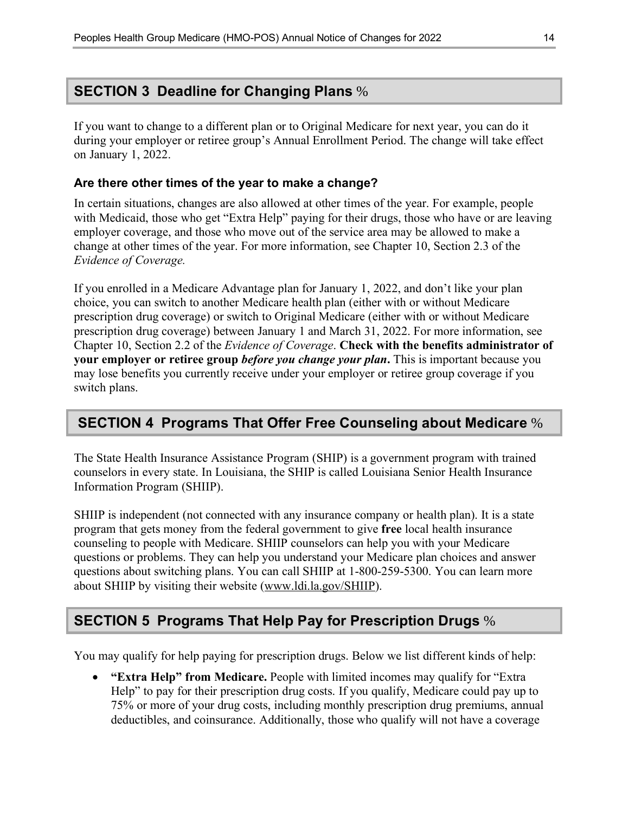#### **SECTION 3 Deadline for Changing Plans** %

 If you want to change to a different plan or to Original Medicare for next year, you can do it during your employer or retiree group's Annual Enrollment Period. The change will take effect on January 1, 2022.

#### **Are there other times of the year to make a change?**

 In certain situations, changes are also allowed at other times of the year. For example, people with Medicaid, those who get "Extra Help" paying for their drugs, those who have or are leaving employer coverage, and those who move out of the service area may be allowed to make a change at other times of the year. For more information, see Chapter 10, Section 2.3 of the  *Evidence of Coverage.* 

 If you enrolled in a Medicare Advantage plan for January 1, 2022, and don't like your plan choice, you can switch to another Medicare health plan (either with or without Medicare prescription drug coverage) or switch to Original Medicare (either with or without Medicare prescription drug coverage) between January 1 and March 31, 2022. For more information, see Chapter 10, Section 2.2 of the *Evidence of Coverage*. **Check with the benefits administrator of your employer or retiree group** *before you change your plan***.** This is important because you may lose benefits you currently receive under your employer or retiree group coverage if you switch plans.

#### **SECTION 4 Programs That Offer Free Counseling about Medicare** %

 The State Health Insurance Assistance Program (SHIP) is a government program with trained counselors in every state. In Louisiana, the SHIP is called Louisiana Senior Health Insurance Information Program (SHIIP).

 SHIIP is independent (not connected with any insurance company or health plan). It is a state program that gets money from the federal government to give **free** local health insurance counseling to people with Medicare. SHIIP counselors can help you with your Medicare questions or problems. They can help you understand your Medicare plan choices and answer questions about switching plans. You can call SHIIP at 1-800-259-5300. You can learn more about SHIIP by visiting their website (www.ldi.la.gov/SHIIP).

#### **SECTION 5 Programs That Help Pay for Prescription Drugs** %

You may qualify for help paying for prescription drugs. Below we list different kinds of help:

• **"Extra Help" from Medicare.** People with limited incomes may qualify for "Extra Help" to pay for their prescription drug costs. If you qualify, Medicare could pay up to 75% or more of your drug costs, including monthly prescription drug premiums, annual deductibles, and coinsurance. Additionally, those who qualify will not have a coverage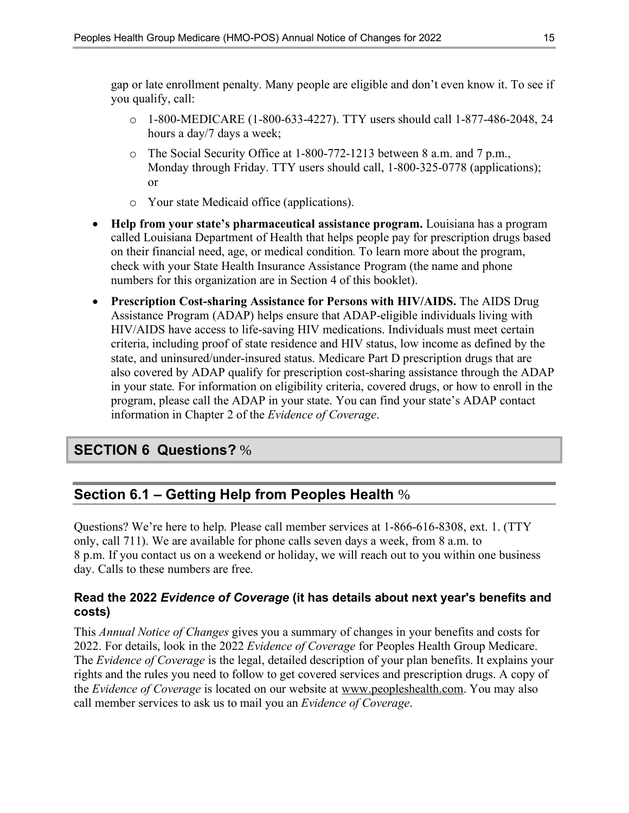gap or late enrollment penalty. Many people are eligible and don't even know it. To see if you qualify, call:

- o 1-800-MEDICARE (1-800-633-4227). TTY users should call 1-877-486-2048, 24 hours a day/7 days a week;
- o The Social Security Office at 1-800-772-1213 between 8 a.m. and 7 p.m., Monday through Friday. TTY users should call, 1-800-325-0778 (applications); or
- o Your state Medicaid office (applications).
- • **Help from your state's pharmaceutical assistance program.** Louisiana has a program called Louisiana Department of Health that helps people pay for prescription drugs based on their financial need, age, or medical condition*.* To learn more about the program, check with your State Health Insurance Assistance Program (the name and phone numbers for this organization are in Section 4 of this booklet).
- Prescription Cost-sharing Assistance for Persons with HIV/AIDS. The AIDS Drug Assistance Program (ADAP) helps ensure that ADAP-eligible individuals living with HIV/AIDS have access to life-saving HIV medications. Individuals must meet certain criteria, including proof of state residence and HIV status, low income as defined by the state, and uninsured/under-insured status. Medicare Part D prescription drugs that are also covered by ADAP qualify for prescription cost-sharing assistance through the ADAP in your state*.* For information on eligibility criteria, covered drugs, or how to enroll in the program, please call the ADAP in your state. You can find your state's ADAP contact information in Chapter 2 of the *Evidence of Coverage*.

#### **SECTION 6 Questions?** %

#### **Section 6.1 – Getting Help from Peoples Health** %

 Questions? We're here to help. Please call member services at 1-866-616-8308, ext. 1. (TTY only, call 711). We are available for phone calls seven days a week, from 8 a.m. to 8 p.m. If you contact us on a weekend or holiday, we will reach out to you within one business day. Calls to these numbers are free.

#### **Read the 2022** *Evidence of Coverage* **(it has details about next year's benefits and costs)**

 rights and the rules you need to follow to get covered services and prescription drugs. A copy of call member services to ask us to mail you an *Evidence of Coverage*. This *Annual Notice of Changes* gives you a summary of changes in your benefits and costs for 2022. For details, look in the 2022 *Evidence of Coverage* for Peoples Health Group Medicare. The *Evidence of Coverage* is the legal, detailed description of your plan benefits. It explains your the *Evidence of Coverage* is located on our website at [www.peopleshealth.com](http:www.peopleshealth.com). You may also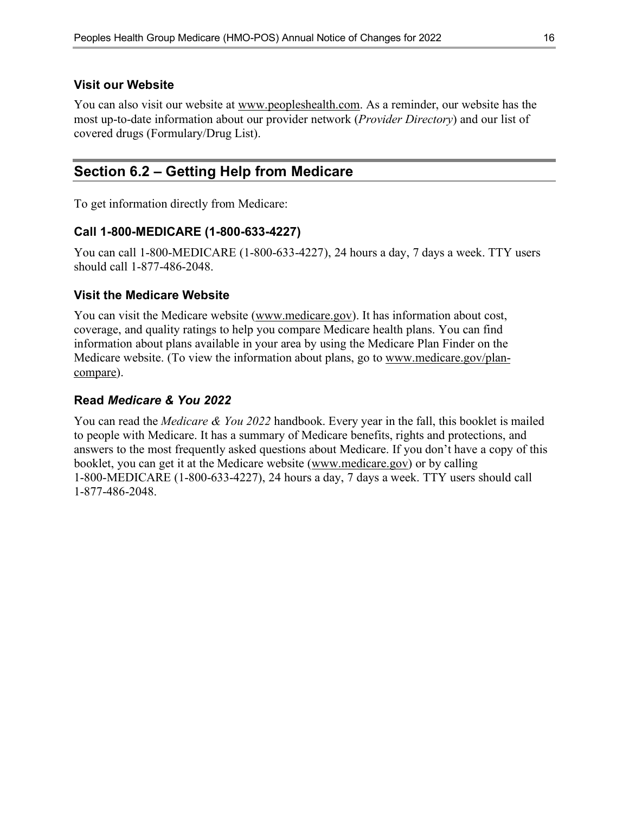#### **Visit our Website**

You can also visit our website at www.peopleshealth.com. As a reminder, our website has the most up-to-date information about our provider network (*Provider Directory*) and our list of covered drugs (Formulary/Drug List).

#### **Section 6.2 – Getting Help from Medicare**

To get information directly from Medicare:

#### **Call 1-800-MEDICARE (1-800-633-4227)**

 should call 1-877-486-2048. You can call 1-800-MEDICARE (1-800-633-4227), 24 hours a day, 7 days a week. TTY users

#### **Visit the Medicare Website**

You can visit the Medicare website (www.medicare.gov). It has information about cost, coverage, and quality ratings to help you compare Medicare health plans. You can find information about plans available in your area by using the Medicare Plan Finder on the Medicare website. (To view the information about plans, go to www.medicare.gov/plancompare).

#### **Read** *Medicare & You 2022*

You can read the *Medicare & You 2022* handbook. Every year in the fall, this booklet is mailed to people with Medicare. It has a summary of Medicare benefits, rights and protections, and answers to the most frequently asked questions about Medicare. If you don't have a copy of this booklet, you can get it at the Medicare website (www.medicare.gov) or by calling 1-800-MEDICARE (1-800-633-4227), 24 hours a day, 7 days a week. TTY users should call 1-877-486-2048.